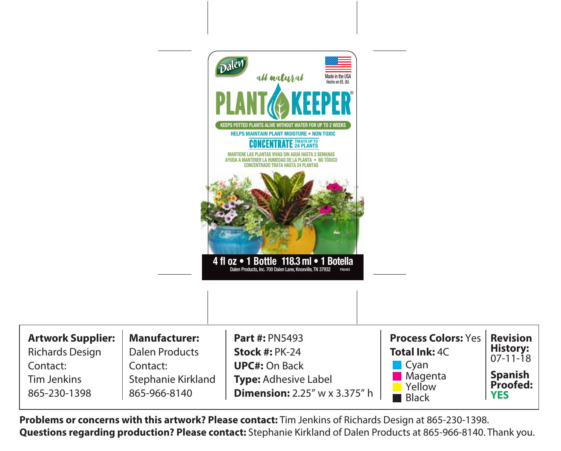